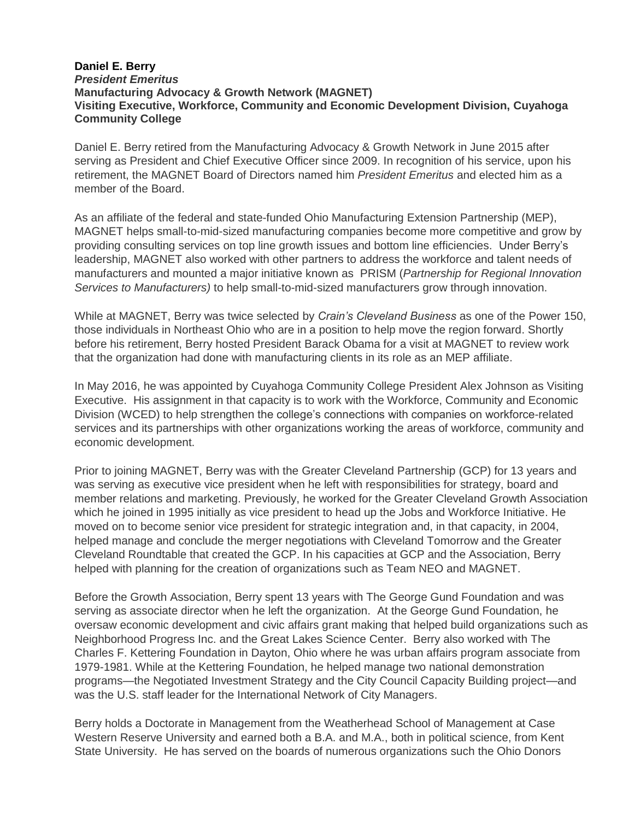## **Daniel E. Berry** *President Emeritus* **Manufacturing Advocacy & Growth Network (MAGNET) Visiting Executive, Workforce, Community and Economic Development Division, Cuyahoga Community College**

Daniel E. Berry retired from the Manufacturing Advocacy & Growth Network in June 2015 after serving as President and Chief Executive Officer since 2009. In recognition of his service, upon his retirement, the MAGNET Board of Directors named him *President Emeritus* and elected him as a member of the Board.

As an affiliate of the federal and state-funded Ohio Manufacturing Extension Partnership (MEP), MAGNET helps small-to-mid-sized manufacturing companies become more competitive and grow by providing consulting services on top line growth issues and bottom line efficiencies. Under Berry's leadership, MAGNET also worked with other partners to address the workforce and talent needs of manufacturers and mounted a major initiative known as PRISM (*Partnership for Regional Innovation Services to Manufacturers)* to help small-to-mid-sized manufacturers grow through innovation.

While at MAGNET, Berry was twice selected by *Crain's Cleveland Business* as one of the Power 150, those individuals in Northeast Ohio who are in a position to help move the region forward. Shortly before his retirement, Berry hosted President Barack Obama for a visit at MAGNET to review work that the organization had done with manufacturing clients in its role as an MEP affiliate.

In May 2016, he was appointed by Cuyahoga Community College President Alex Johnson as Visiting Executive. His assignment in that capacity is to work with the Workforce, Community and Economic Division (WCED) to help strengthen the college's connections with companies on workforce-related services and its partnerships with other organizations working the areas of workforce, community and economic development.

Prior to joining MAGNET, Berry was with the Greater Cleveland Partnership (GCP) for 13 years and was serving as executive vice president when he left with responsibilities for strategy, board and member relations and marketing. Previously, he worked for the Greater Cleveland Growth Association which he joined in 1995 initially as vice president to head up the Jobs and Workforce Initiative. He moved on to become senior vice president for strategic integration and, in that capacity, in 2004, helped manage and conclude the merger negotiations with Cleveland Tomorrow and the Greater Cleveland Roundtable that created the GCP. In his capacities at GCP and the Association, Berry helped with planning for the creation of organizations such as Team NEO and MAGNET.

Before the Growth Association, Berry spent 13 years with The George Gund Foundation and was serving as associate director when he left the organization. At the George Gund Foundation, he oversaw economic development and civic affairs grant making that helped build organizations such as Neighborhood Progress Inc. and the Great Lakes Science Center. Berry also worked with The Charles F. Kettering Foundation in Dayton, Ohio where he was urban affairs program associate from 1979-1981. While at the Kettering Foundation, he helped manage two national demonstration programs—the Negotiated Investment Strategy and the City Council Capacity Building project—and was the U.S. staff leader for the International Network of City Managers.

Berry holds a Doctorate in Management from the Weatherhead School of Management at Case Western Reserve University and earned both a B.A. and M.A., both in political science, from Kent State University. He has served on the boards of numerous organizations such the Ohio Donors